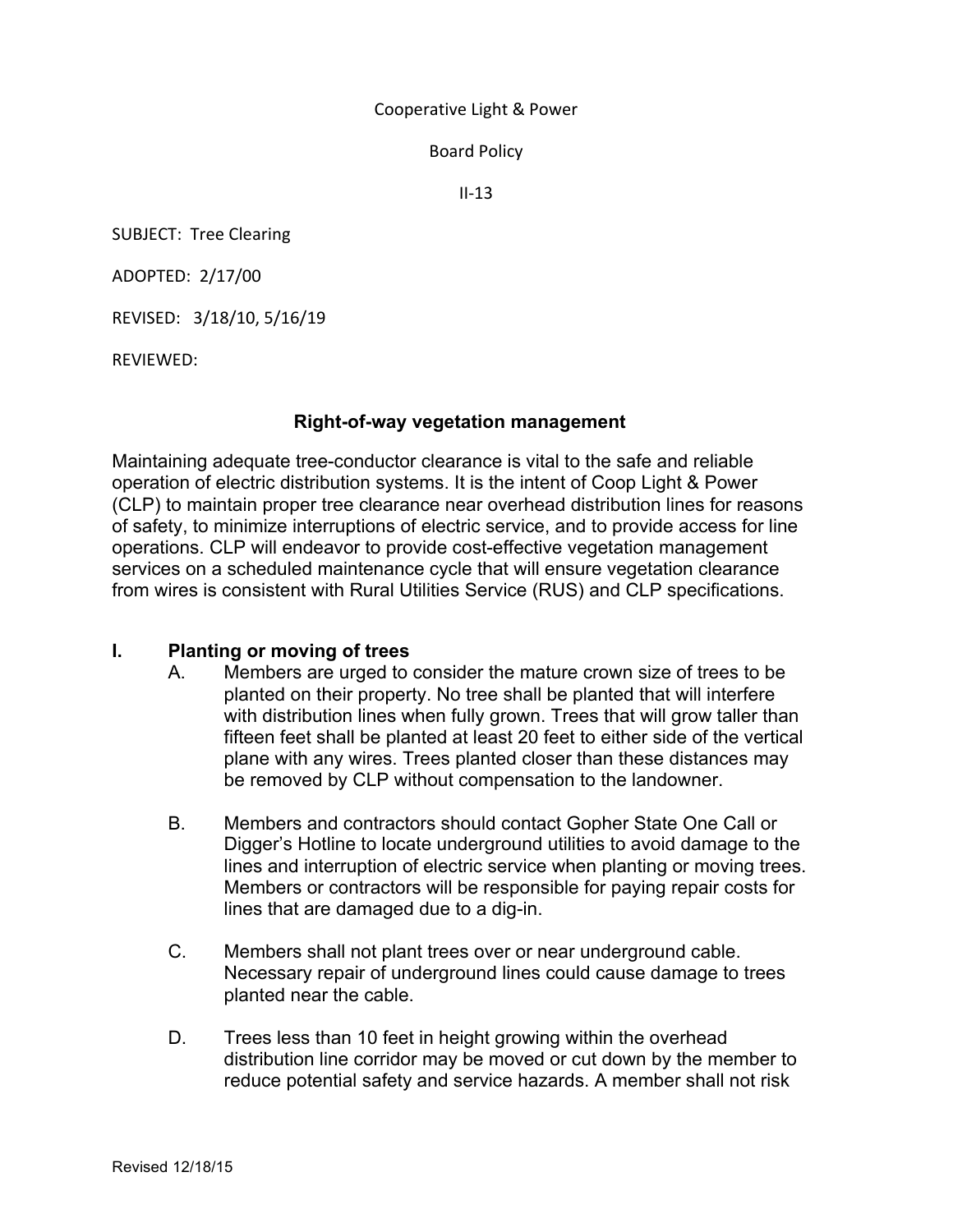#### Cooperative Light & Power

Board Policy 

 $II-13$ 

SUBJECT: Tree Clearing

ADOPTED: 2/17/00

REVISED: 3/18/10, 5/16/19

REVIEWED: 

# **Right-of-way vegetation management**

Maintaining adequate tree-conductor clearance is vital to the safe and reliable operation of electric distribution systems. It is the intent of Coop Light & Power (CLP) to maintain proper tree clearance near overhead distribution lines for reasons of safety, to minimize interruptions of electric service, and to provide access for line operations. CLP will endeavor to provide cost-effective vegetation management services on a scheduled maintenance cycle that will ensure vegetation clearance from wires is consistent with Rural Utilities Service (RUS) and CLP specifications.

#### **I. Planting or moving of trees**

- A. Members are urged to consider the mature crown size of trees to be planted on their property. No tree shall be planted that will interfere with distribution lines when fully grown. Trees that will grow taller than fifteen feet shall be planted at least 20 feet to either side of the vertical plane with any wires. Trees planted closer than these distances may be removed by CLP without compensation to the landowner.
- B. Members and contractors should contact Gopher State One Call or Digger's Hotline to locate underground utilities to avoid damage to the lines and interruption of electric service when planting or moving trees. Members or contractors will be responsible for paying repair costs for lines that are damaged due to a dig-in.
- C. Members shall not plant trees over or near underground cable. Necessary repair of underground lines could cause damage to trees planted near the cable.
- D. Trees less than 10 feet in height growing within the overhead distribution line corridor may be moved or cut down by the member to reduce potential safety and service hazards. A member shall not risk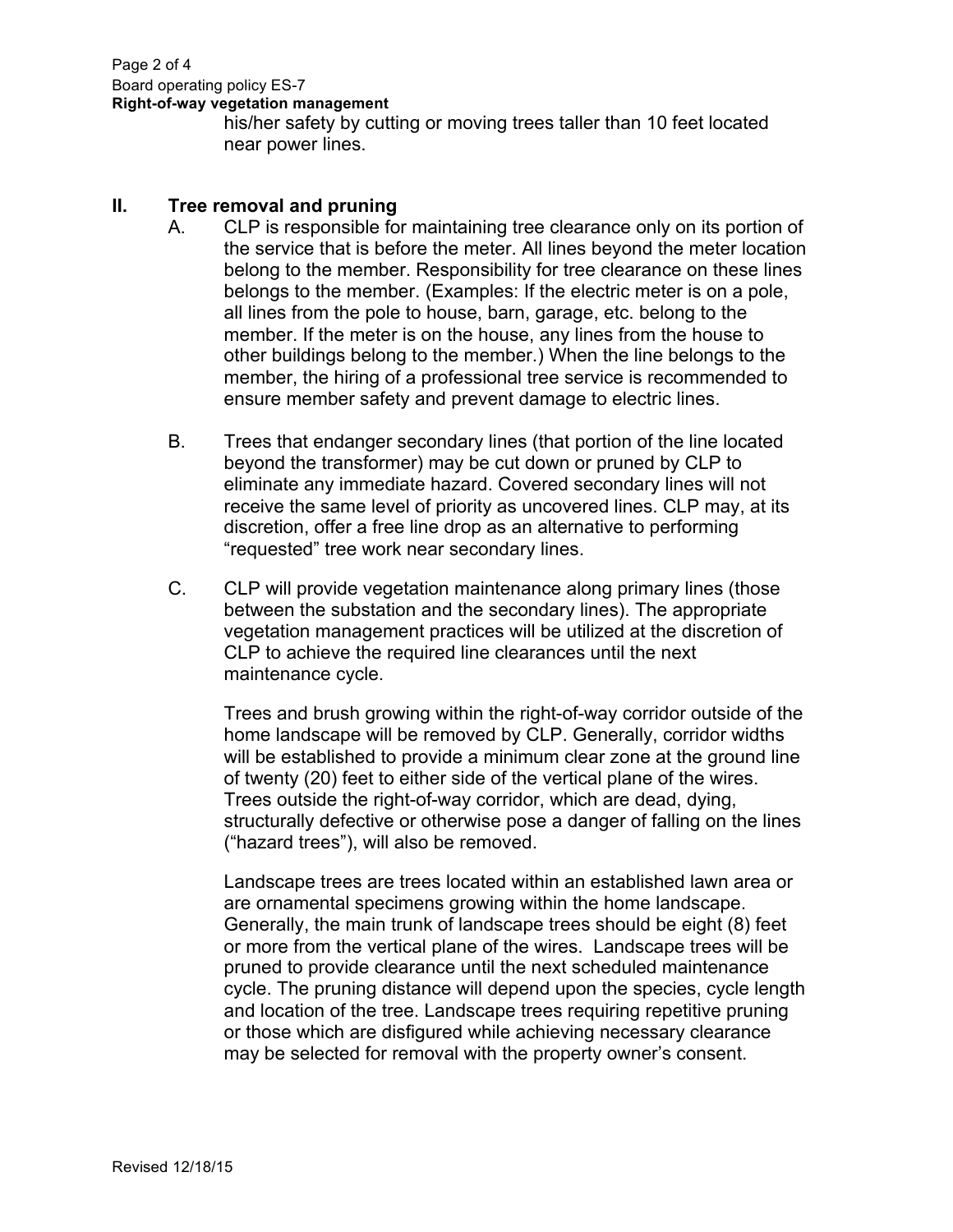Page 2 of 4 Board operating policy ES-7 **Right-of-way vegetation management**

his/her safety by cutting or moving trees taller than 10 feet located near power lines.

### **II. Tree removal and pruning**

- A. CLP is responsible for maintaining tree clearance only on its portion of the service that is before the meter. All lines beyond the meter location belong to the member. Responsibility for tree clearance on these lines belongs to the member. (Examples: If the electric meter is on a pole, all lines from the pole to house, barn, garage, etc. belong to the member. If the meter is on the house, any lines from the house to other buildings belong to the member.) When the line belongs to the member, the hiring of a professional tree service is recommended to ensure member safety and prevent damage to electric lines.
- B. Trees that endanger secondary lines (that portion of the line located beyond the transformer) may be cut down or pruned by CLP to eliminate any immediate hazard. Covered secondary lines will not receive the same level of priority as uncovered lines. CLP may, at its discretion, offer a free line drop as an alternative to performing "requested" tree work near secondary lines.
- C. CLP will provide vegetation maintenance along primary lines (those between the substation and the secondary lines). The appropriate vegetation management practices will be utilized at the discretion of CLP to achieve the required line clearances until the next maintenance cycle.

Trees and brush growing within the right-of-way corridor outside of the home landscape will be removed by CLP. Generally, corridor widths will be established to provide a minimum clear zone at the ground line of twenty (20) feet to either side of the vertical plane of the wires. Trees outside the right-of-way corridor, which are dead, dying, structurally defective or otherwise pose a danger of falling on the lines ("hazard trees"), will also be removed.

Landscape trees are trees located within an established lawn area or are ornamental specimens growing within the home landscape. Generally, the main trunk of landscape trees should be eight (8) feet or more from the vertical plane of the wires. Landscape trees will be pruned to provide clearance until the next scheduled maintenance cycle. The pruning distance will depend upon the species, cycle length and location of the tree. Landscape trees requiring repetitive pruning or those which are disfigured while achieving necessary clearance may be selected for removal with the property owner's consent.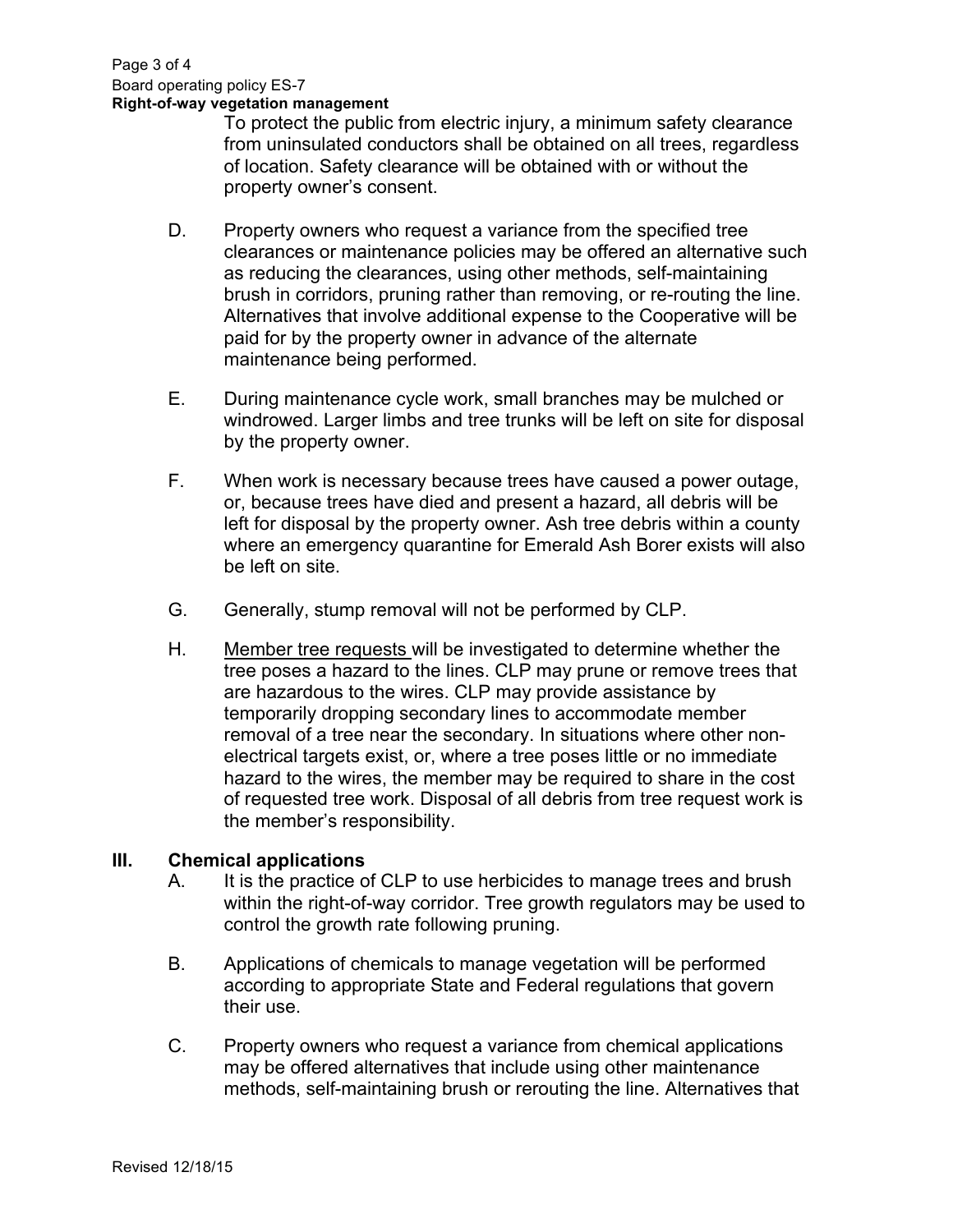To protect the public from electric injury, a minimum safety clearance from uninsulated conductors shall be obtained on all trees, regardless of location. Safety clearance will be obtained with or without the property owner's consent.

- D. Property owners who request a variance from the specified tree clearances or maintenance policies may be offered an alternative such as reducing the clearances, using other methods, self-maintaining brush in corridors, pruning rather than removing, or re-routing the line. Alternatives that involve additional expense to the Cooperative will be paid for by the property owner in advance of the alternate maintenance being performed.
- E. During maintenance cycle work, small branches may be mulched or windrowed. Larger limbs and tree trunks will be left on site for disposal by the property owner.
- F. When work is necessary because trees have caused a power outage, or, because trees have died and present a hazard, all debris will be left for disposal by the property owner. Ash tree debris within a county where an emergency quarantine for Emerald Ash Borer exists will also be left on site.
- G. Generally, stump removal will not be performed by CLP.
- H. Member tree requests will be investigated to determine whether the tree poses a hazard to the lines. CLP may prune or remove trees that are hazardous to the wires. CLP may provide assistance by temporarily dropping secondary lines to accommodate member removal of a tree near the secondary. In situations where other nonelectrical targets exist, or, where a tree poses little or no immediate hazard to the wires, the member may be required to share in the cost of requested tree work. Disposal of all debris from tree request work is the member's responsibility.

# **III. Chemical applications**

- A. It is the practice of CLP to use herbicides to manage trees and brush within the right-of-way corridor. Tree growth regulators may be used to control the growth rate following pruning.
- B. Applications of chemicals to manage vegetation will be performed according to appropriate State and Federal regulations that govern their use.
- C. Property owners who request a variance from chemical applications may be offered alternatives that include using other maintenance methods, self-maintaining brush or rerouting the line. Alternatives that